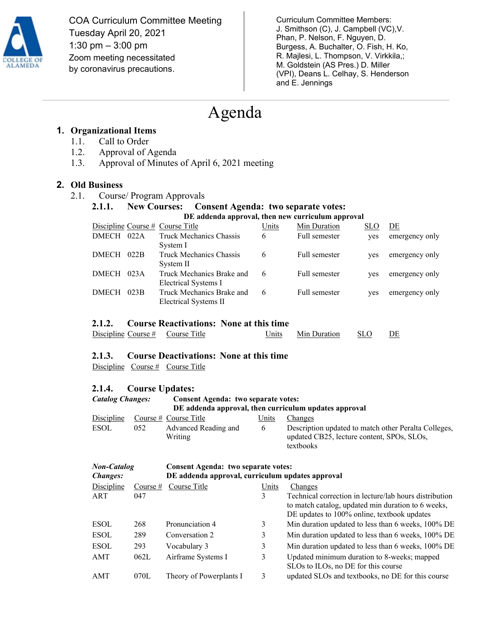

COA Curriculum Committee Meeting Tuesday April 20, 2021 1:30 pm – 3:00 pm Zoom meeting necessitated by coronavirus precautions.

Curriculum Committee Members: J. Smithson (C), J. Campbell (VC),V. Phan, P. Nelson, F. Nguyen, D. Burgess, A. Buchalter, O. Fish, H. Ko, R. Majlesi, L. Thompson, V. Virkkila,; M. Goldstein (AS Pres.) D. Miller (VPI), Deans L. Celhay, S. Henderson and E. Jennings

## Agenda

### **1. Organizational Items**

- 1.1. Call to Order
- 1.2. Approval of Agenda
- 1.3. Approval of Minutes of April 6, 2021 meeting

### **2. Old Business**

2.1. Course/ Program Approvals

# **2.1.1. New Courses: Consent Agenda: two separate votes: DE addenda approval, then new curriculum approval**

|              |      | Discipline Course $#$ Course Title                 | Units | Min Duration  | <b>SLO</b> | DE             |
|--------------|------|----------------------------------------------------|-------|---------------|------------|----------------|
| DMECH        | 022A | Truck Mechanics Chassis<br>System I                | 6     | Full semester | ves        | emergency only |
| <b>DMECH</b> | 022B | Truck Mechanics Chassis<br>System II               | 6     | Full semester | ves        | emergency only |
| <b>DMECH</b> | 023A | Truck Mechanics Brake and<br>Electrical Systems I  |       | Full semester | ves        | emergency only |
| <b>DMECH</b> | 023B | Truck Mechanics Brake and<br>Electrical Systems II | 6     | Full semester | ves        | emergency only |

### **2.1.2. Course Reactivations: None at this time**

| Discipline Course #<br>Course Title | Units | Min Duration | <b>SLO</b> | DE |
|-------------------------------------|-------|--------------|------------|----|
|-------------------------------------|-------|--------------|------------|----|

### **2.1.3. Course Deactivations: None at this time**

Discipline Course # Course Title

### **2.1.4. Course Updates:**

#### *Catalog Changes:* **Consent Agenda: two separate votes: DE addenda approval, then curriculum updates approval** Discipline Course # Course Title Units Changes ESOL 052 Advanced Reading and Writing 6 Description updated to match other Peralta Colleges, updated CB25, lecture content, SPOs, SLOs, textbooks

### *Non-Catalog Changes:* **Consent Agenda: two separate votes: DE addenda approval, curriculum updates approval** Discipline Course # Course Title Units Changes ART 047 3 Technical correction in lecture/lab hours distribution to match catalog, updated min duration to 6 weeks, DE updates to 100% online, textbook updates ESOL 268 Pronunciation 4 3 Min duration updated to less than 6 weeks, 100% DE ESOL 289 Conversation 2 3 Min duration updated to less than 6 weeks, 100% DE ESOL 293 Vocabulary 3 3 Min duration updated to less than 6 weeks, 100% DE AMT 062L Airframe Systems I 3 Updated minimum duration to 8-weeks; mapped SLOs to ILOs, no DE for this course AMT 070L Theory of Powerplants I 3 updated SLOs and textbooks, no DE for this course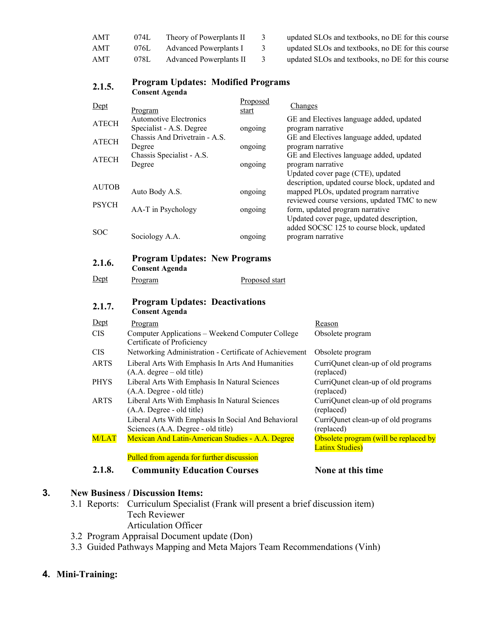| AMT | 074L | Theory of Powerplants II | updated SLOs and textbooks, no DE for this course |
|-----|------|--------------------------|---------------------------------------------------|
| AMT | 076L | Advanced Powerplants I   | updated SLOs and textbooks, no DE for this course |
| AMT | 078L | Advanced Powerplants II  | updated SLOs and textbooks, no DE for this course |

| 4.L.J.       | <b>Consent Agenda</b>                                                                |                |                  |                                                                                      |  |
|--------------|--------------------------------------------------------------------------------------|----------------|------------------|--------------------------------------------------------------------------------------|--|
| Dept         |                                                                                      | Proposed       | Changes          |                                                                                      |  |
|              | Program<br><b>Automotive Electronics</b>                                             | start          |                  | GE and Electives language added, updated                                             |  |
| <b>ATECH</b> | Specialist - A.S. Degree                                                             | ongoing        |                  | program narrative                                                                    |  |
| ATECH        | Chassis And Drivetrain - A.S.                                                        |                |                  | GE and Electives language added, updated                                             |  |
|              | Degree                                                                               | ongoing        |                  | program narrative                                                                    |  |
| ATECH        | Chassis Specialist - A.S.                                                            |                |                  | GE and Electives language added, updated                                             |  |
|              | Degree<br>ongoing                                                                    |                |                  | program narrative<br>Updated cover page (CTE), updated                               |  |
|              |                                                                                      |                |                  | description, updated course block, updated and                                       |  |
| AUTOB        | Auto Body A.S.                                                                       | ongoing        |                  | mapped PLOs, updated program narrative                                               |  |
| <b>PSYCH</b> |                                                                                      |                |                  | reviewed course versions, updated TMC to new                                         |  |
|              | AA-T in Psychology                                                                   | ongoing        |                  | form, updated program narrative                                                      |  |
|              |                                                                                      |                |                  | Updated cover page, updated description,<br>added SOCSC 125 to course block, updated |  |
| <b>SOC</b>   | Sociology A.A.                                                                       | ongoing        |                  | program narrative                                                                    |  |
|              |                                                                                      |                |                  |                                                                                      |  |
| 2.1.6.       | <b>Program Updates: New Programs</b>                                                 |                |                  |                                                                                      |  |
|              | <b>Consent Agenda</b>                                                                |                |                  |                                                                                      |  |
| Dept         | Program                                                                              | Proposed start |                  |                                                                                      |  |
| 2.1.7.       | <b>Program Updates: Deactivations</b>                                                |                |                  |                                                                                      |  |
|              | <b>Consent Agenda</b>                                                                |                |                  |                                                                                      |  |
| Dept         | Program                                                                              |                |                  | Reason                                                                               |  |
| <b>CIS</b>   | Computer Applications - Weekend Computer College                                     |                | Obsolete program |                                                                                      |  |
| <b>CIS</b>   | Certificate of Proficiency<br>Networking Administration - Certificate of Achievement |                |                  | Obsolete program                                                                     |  |
| <b>ARTS</b>  | Liberal Arts With Emphasis In Arts And Humanities                                    |                |                  | CurriQunet clean-up of old programs                                                  |  |
|              | $(A.A. degree - old title)$                                                          | (replaced)     |                  |                                                                                      |  |
| <b>PHYS</b>  | Liberal Arts With Emphasis In Natural Sciences                                       |                |                  | CurriQunet clean-up of old programs                                                  |  |
|              | (A.A. Degree - old title)                                                            |                |                  | (replaced)                                                                           |  |
| <b>ARTS</b>  | Liberal Arts With Emphasis In Natural Sciences<br>(A.A. Degree - old title)          | (replaced)     |                  | CurriQunet clean-up of old programs                                                  |  |
|              | Liberal Arts With Emphasis In Social And Behavioral                                  |                |                  | CurriQunet clean-up of old programs                                                  |  |
|              | Sciences (A.A. Degree - old title)                                                   | (replaced)     |                  |                                                                                      |  |
| M/LAT        | Mexican And Latin-American Studies - A.A. Degree                                     |                |                  | Obsolete program (will be replaced by                                                |  |
|              | Pulled from agenda for further discussion                                            |                |                  | <b>Latinx Studies)</b>                                                               |  |
| 2.1.8.       |                                                                                      |                |                  | None at this time                                                                    |  |
|              | <b>Community Education Courses</b>                                                   |                |                  |                                                                                      |  |
|              | <b>Business / Discussion Items:</b>                                                  |                |                  |                                                                                      |  |
|              |                                                                                      |                |                  |                                                                                      |  |

## **2.1.5. Program Updates: Modified Programs**

**3. New** 

- 3.1 Reports: Curriculum Specialist (Frank will present a brief discussion item) Tech Reviewer Articulation Officer
- 3.2 Program Appraisal Document update (Don)
- 3.3 Guided Pathways Mapping and Meta Majors Team Recommendations (Vinh)

### **4. Mini-Training:**